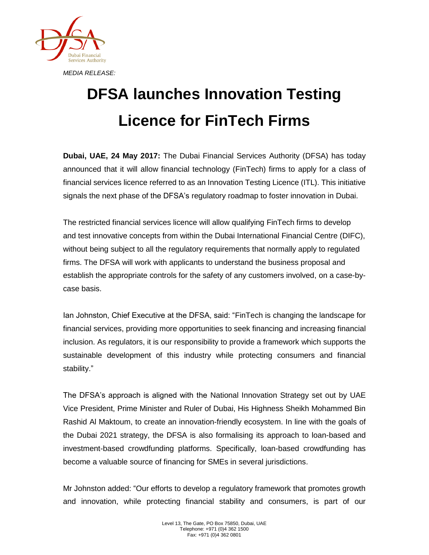

## **DFSA launches Innovation Testing Licence for FinTech Firms**

**Dubai, UAE, 24 May 2017:** The Dubai Financial Services Authority (DFSA) has today announced that it will allow financial technology (FinTech) firms to apply for a class of financial services licence referred to as an Innovation Testing Licence (ITL). This initiative signals the next phase of the DFSA's regulatory roadmap to foster innovation in Dubai.

The restricted financial services licence will allow qualifying FinTech firms to develop and test innovative concepts from within the Dubai International Financial Centre (DIFC), without being subject to all the regulatory requirements that normally apply to regulated firms. The DFSA will work with applicants to understand the business proposal and establish the appropriate controls for the safety of any customers involved, on a case-bycase basis.

Ian Johnston, Chief Executive at the DFSA, said: "FinTech is changing the landscape for financial services, providing more opportunities to seek financing and increasing financial inclusion. As regulators, it is our responsibility to provide a framework which supports the sustainable development of this industry while protecting consumers and financial stability."

The DFSA's approach is aligned with the National Innovation Strategy set out by UAE Vice President, Prime Minister and Ruler of Dubai, His Highness Sheikh Mohammed Bin Rashid Al Maktoum, to create an innovation-friendly ecosystem. In line with the goals of the Dubai 2021 strategy, the DFSA is also formalising its approach to loan-based and investment-based crowdfunding platforms. Specifically, loan-based crowdfunding has become a valuable source of financing for SMEs in several jurisdictions.

Mr Johnston added: "Our efforts to develop a regulatory framework that promotes growth and innovation, while protecting financial stability and consumers, is part of our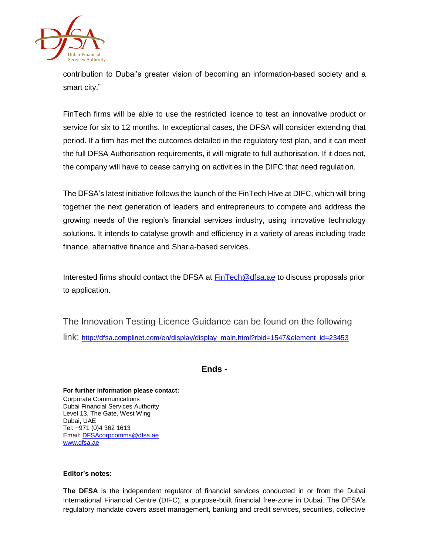

contribution to Dubai's greater vision of becoming an information-based society and a smart city."

FinTech firms will be able to use the restricted licence to test an innovative product or service for six to 12 months. In exceptional cases, the DFSA will consider extending that period. If a firm has met the outcomes detailed in the regulatory test plan, and it can meet the full DFSA Authorisation requirements, it will migrate to full authorisation. If it does not, the company will have to cease carrying on activities in the DIFC that need regulation.

The DFSA's latest initiative follows the launch of the FinTech Hive at DIFC, which will bring together the next generation of leaders and entrepreneurs to compete and address the growing needs of the region's financial services industry, using innovative technology solutions. It intends to catalyse growth and efficiency in a variety of areas including trade finance, alternative finance and Sharia-based services.

Interested firms should contact the DFSA at **[FinTech@dfsa.ae](mailto:FinTech@dfsa.ae)** to discuss proposals prior to application.

The Innovation Testing Licence Guidance can be found on the following link: [http://dfsa.complinet.com/en/display/display\\_main.html?rbid=1547&element\\_id=23453](http://dfsa.complinet.com/en/display/display_main.html?rbid=1547&element_id=23453)

**Ends -**

**For further information please contact:** Corporate Communications Dubai Financial Services Authority Level 13, The Gate, West Wing Dubai, UAE Tel: +971 (0)4 362 1613 Email[: DFSAcorpcomms@dfsa.ae](mailto:DFSAcorpcomms@dfsa.ae) [www.dfsa.ae](http://www.dfsa.ae/)

## **Editor's notes:**

**The DFSA** is the independent regulator of financial services conducted in or from the Dubai International Financial Centre (DIFC), a purpose-built financial free-zone in Dubai. The DFSA's regulatory mandate covers asset management, banking and credit services, securities, collective